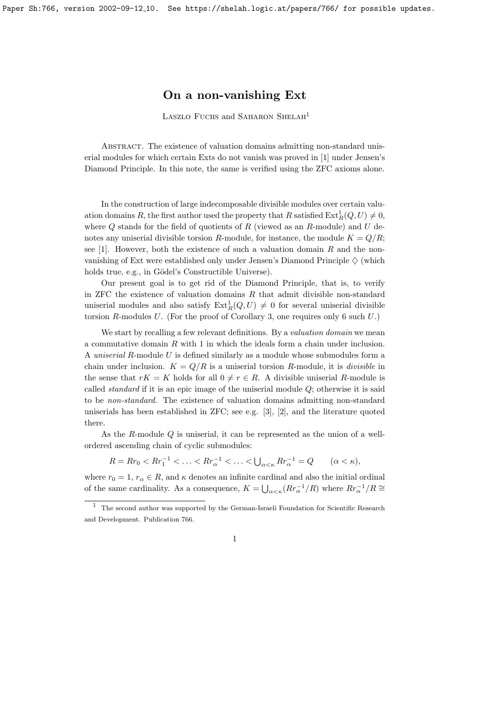## On a non-vanishing Ext

LASZLO FUCHS and SAHARON SHELAH<sup>1</sup>

Abstract. The existence of valuation domains admitting non-standard uniserial modules for which certain Exts do not vanish was proved in [1] under Jensen's Diamond Principle. In this note, the same is verified using the ZFC axioms alone.

In the construction of large indecomposable divisible modules over certain valuation domains R, the first author used the property that R satisfied  $\text{Ext}^1_R(Q, U) \neq 0$ , where  $Q$  stands for the field of quotients of  $R$  (viewed as an  $R$ -module) and  $U$  denotes any uniserial divisible torsion R-module, for instance, the module  $K = Q/R$ ; see [1]. However, both the existence of such a valuation domain  $R$  and the nonvanishing of Ext were established only under Jensen's Diamond Principle  $\Diamond$  (which holds true, e.g., in Gödel's Constructible Universe).

Our present goal is to get rid of the Diamond Principle, that is, to verify in ZFC the existence of valuation domains  $R$  that admit divisible non-standard uniserial modules and also satisfy  $\text{Ext}_R^1(Q, U) \neq 0$  for several uniserial divisible torsion R-modules U. (For the proof of Corollary 3, one requires only  $6 \text{ such } U$ .)

We start by recalling a few relevant definitions. By a *valuation domain* we mean a commutative domain R with 1 in which the ideals form a chain under inclusion. A uniserial R-module U is defined similarly as a module whose submodules form a chain under inclusion.  $K = Q/R$  is a uniserial torsion R-module, it is *divisible* in the sense that  $rK = K$  holds for all  $0 \neq r \in R$ . A divisible uniserial R-module is called *standard* if it is an epic image of the uniserial module  $Q$ ; otherwise it is said to be non-standard. The existence of valuation domains admitting non-standard uniserials has been established in ZFC; see e.g. [3], [2], and the literature quoted there.

As the R-module Q is uniserial, it can be represented as the union of a wellordered ascending chain of cyclic submodules:

 $R = R r_0 < R r_1^{-1} < \ldots < R r_\alpha^{-1} < \ldots < \bigcup_{\alpha < \kappa} R r_\alpha^{-1} = Q \qquad (\alpha < \kappa),$ 

where  $r_0 = 1, r_\alpha \in R$ , and  $\kappa$  denotes an infinite cardinal and also the initial ordinal of the same cardinality. As a consequence,  $K = \bigcup_{\alpha < \kappa} (R r_{\alpha}^{-1}/R)$  where  $R r_{\alpha}^{-1}/R \cong$ 

<sup>1</sup> The second author was supported by the German-Israeli Foundation for Scientific Research and Development. Publication 766.

<sup>1</sup>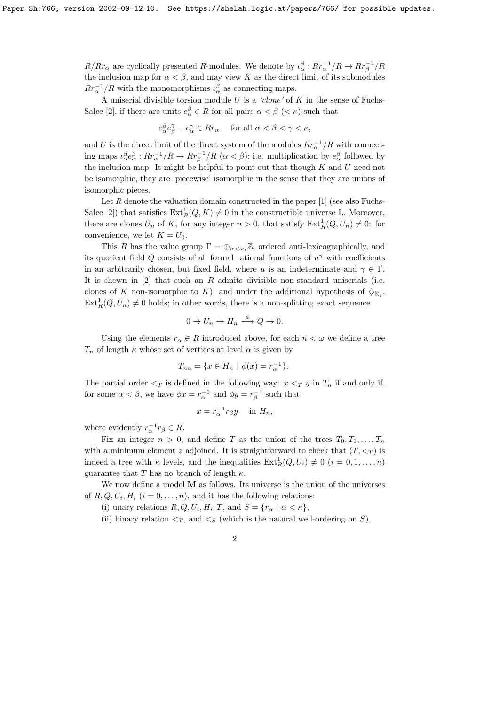$R/Rr_\alpha$  are cyclically presented R-modules. We denote by  $\iota_\alpha^\beta: R r_\alpha^{-1}/R \to R r_\beta^{-1}/R$ the inclusion map for  $\alpha < \beta$ , and may view K as the direct limit of its submodules  $Rr_{\alpha}^{-1}/R$  with the monomorphisms  $\iota_{\alpha}^{\beta}$  as connecting maps.

A uniserial divisible torsion module  $U$  is a 'clone' of  $K$  in the sense of Fuchs-Salce [2], if there are units  $e_{\alpha}^{\beta} \in R$  for all pairs  $\alpha < \beta$  ( $\lt \kappa$ ) such that

$$
e_{\alpha}^{\beta}e_{\beta}^{\gamma}-e_{\alpha}^{\gamma}\in Rr_{\alpha} \quad \text{ for all } \alpha < \beta < \gamma < \kappa,
$$

and U is the direct limit of the direct system of the modules  $Rr_{\alpha}^{-1}/R$  with connecting maps  $\iota_{\alpha}^{\beta}e_{\alpha}^{\beta}: Rr_{\alpha}^{-1}/R \to Rr_{\beta}^{-1}/R$   $(\alpha < \beta)$ ; i.e. multiplication by  $e_{\alpha}^{\beta}$  followed by the inclusion map. It might be helpful to point out that though  $K$  and  $U$  need not be isomorphic, they are 'piecewise' isomorphic in the sense that they are unions of isomorphic pieces.

Let R denote the valuation domain constructed in the paper  $[1]$  (see also Fuchs-Salce [2]) that satisfies  $\text{Ext}^1_R(Q, K) \neq 0$  in the constructible universe L. Moreover, there are clones  $U_n$  of K, for any integer  $n > 0$ , that satisfy  $\text{Ext}^1_R(Q, U_n) \neq 0$ : for convenience, we let  $K = U_0$ .

This R has the value group  $\Gamma = \bigoplus_{\alpha < \omega_1} \mathbb{Z}$ , ordered anti-lexicographically, and its quotient field Q consists of all formal rational functions of  $u^{\gamma}$  with coefficients in an arbitrarily chosen, but fixed field, where u is an indeterminate and  $\gamma \in \Gamma$ . It is shown in  $[2]$  that such an R admits divisible non-standard uniserials (i.e. clones of K non-isomorphic to K), and under the additional hypothesis of  $\Diamond_{\aleph_1}$ ,  $\text{Ext}_{R}^{1}(Q, U_n) \neq 0$  holds; in other words, there is a non-splitting exact sequence

$$
0 \to U_n \to H_n \xrightarrow{\phi} Q \to 0.
$$

Using the elements  $r_{\alpha} \in R$  introduced above, for each  $n < \omega$  we define a tree  $T_n$  of length  $\kappa$  whose set of vertices at level  $\alpha$  is given by

$$
T_{n\alpha} = \{ x \in H_n \mid \phi(x) = r_{\alpha}^{-1} \}.
$$

The partial order  $\leq_T$  is defined in the following way:  $x \leq_T y$  in  $T_n$  if and only if, for some  $\alpha < \beta$ , we have  $\phi x = r_{\alpha}^{-1}$  and  $\phi y = r_{\beta}^{-1}$  such that

$$
x = r_{\alpha}^{-1} r_{\beta} y \quad \text{in } H_n,
$$

where evidently  $r_{\alpha}^{-1}r_{\beta} \in R$ .

Fix an integer  $n > 0$ , and define T as the union of the trees  $T_0, T_1, \ldots, T_n$ with a minimum element z adjoined. It is straightforward to check that  $(T, \leq_T)$  is indeed a tree with  $\kappa$  levels, and the inequalities  $\text{Ext}_R^1(Q, U_i) \neq 0$   $(i = 0, 1, \ldots, n)$ guarantee that T has no branch of length  $\kappa$ .

We now define a model M as follows. Its universe is the union of the universes of  $R, Q, U_i, H_i$   $(i = 0, \ldots, n)$ , and it has the following relations:

(i) unary relations  $R, Q, U_i, H_i, T$ , and  $S = \{r_\alpha \mid \alpha < \kappa\},\$ 

(ii) binary relation  $\leq_T$ , and  $\leq_S$  (which is the natural well-ordering on S),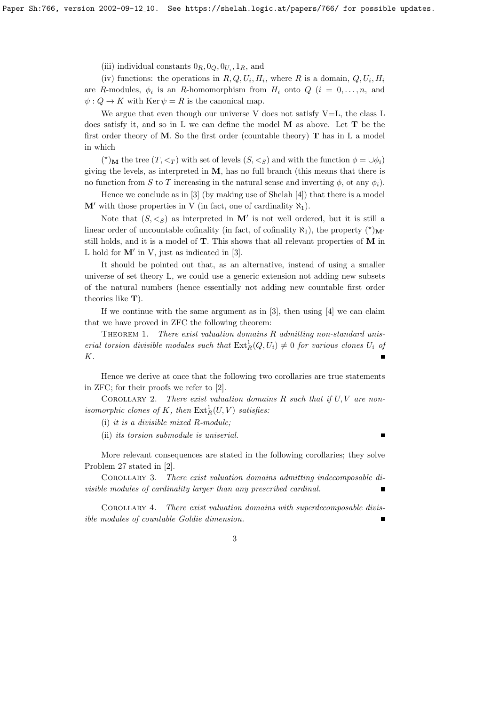(iii) individual constants  $0_R$ ,  $0_Q$ ,  $0_{U_i}$ ,  $1_R$ , and

(iv) functions: the operations in  $R, Q, U_i, H_i$ , where R is a domain,  $Q, U_i, H_i$ are R-modules,  $\phi_i$  is an R-homomorphism from  $H_i$  onto  $Q$   $(i = 0, \ldots, n,$  and  $\psi: Q \to K$  with Ker  $\psi = R$  is the canonical map.

We argue that even though our universe V does not satisfy  $V=L$ , the class L does satisfy it, and so in L we can define the model M as above. Let T be the first order theory of M. So the first order (countable theory)  $\bf{T}$  has in L a model in which

(\*)<sub>M</sub> the tree  $(T, \leq_T)$  with set of levels  $(S, \leq_S)$  and with the function  $\phi = \cup \phi_i$ ) giving the levels, as interpreted in  $M$ , has no full branch (this means that there is no function from S to T increasing in the natural sense and inverting  $\phi$ , ot any  $\phi_i$ ).

Hence we conclude as in  $[3]$  (by making use of Shelah  $[4]$ ) that there is a model  $M'$  with those properties in V (in fact, one of cardinality  $\aleph_1$ ).

Note that  $(S, \leq_S)$  as interpreted in M' is not well ordered, but it is still a linear order of uncountable cofinality (in fact, of cofinality  $\aleph_1$ ), the property  $({}^{\star})_{\mathbf{M}'}$ still holds, and it is a model of T. This shows that all relevant properties of M in L hold for  $M'$  in V, just as indicated in [3].

It should be pointed out that, as an alternative, instead of using a smaller universe of set theory L, we could use a generic extension not adding new subsets of the natural numbers (hence essentially not adding new countable first order theories like  $T$ ).

If we continue with the same argument as in [3], then using [4] we can claim that we have proved in ZFC the following theorem:

THEOREM 1. There exist valuation domains  $R$  admitting non-standard uniserial torsion divisible modules such that  $\text{Ext}^1_R(Q, U_i) \neq 0$  for various clones  $U_i$  of K.  $\blacksquare$ 

Hence we derive at once that the following two corollaries are true statements in ZFC; for their proofs we refer to [2].

COROLLARY 2. There exist valuation domains  $R$  such that if  $U, V$  are nonisomorphic clones of K, then  $\text{Ext}^1_R(U, V)$  satisfies:

(i) it is a divisible mixed R-module;

(ii) its torsion submodule is uniserial.

More relevant consequences are stated in the following corollaries; they solve Problem 27 stated in [2].

Corollary 3. There exist valuation domains admitting indecomposable divisible modules of cardinality larger than any prescribed cardinal.  $\blacksquare$ 

Corollary 4. There exist valuation domains with superdecomposable divisible modules of countable Goldie dimension.

3